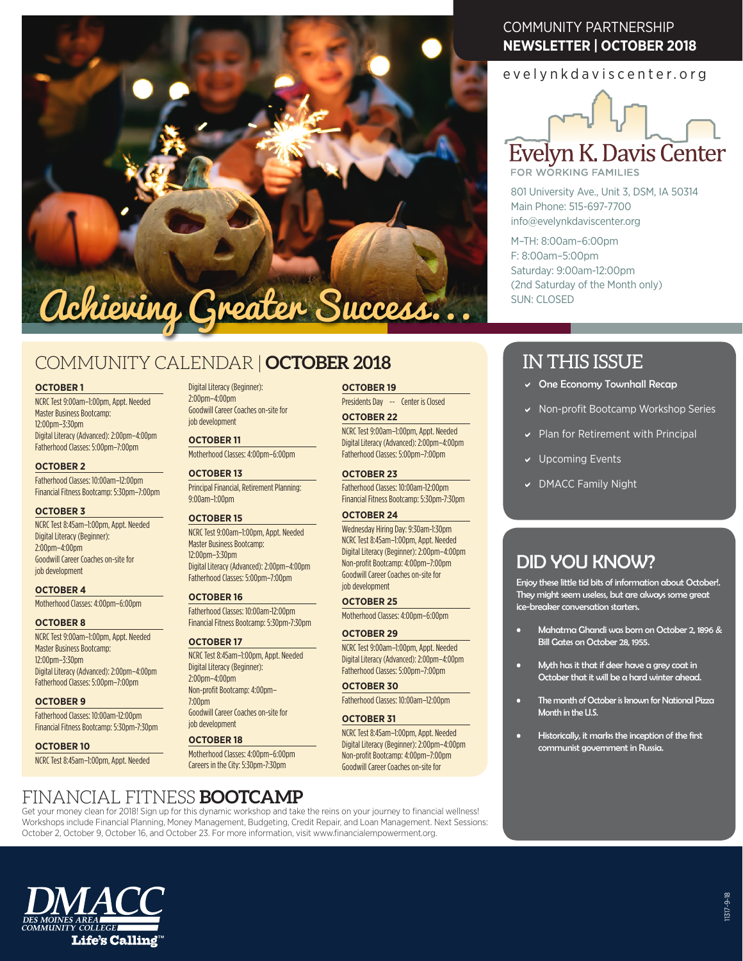

# COMMUNITY CALENDAR | **OCTOBER 2018**

## **OCTOBER 1**

NCRC Test 9:00am–1:00pm, Appt. Needed Master Business Bootcamp:  $12:00$ pm– $3:30$ pm Digital Literacy (Advanced): 2:00pm–4:00pm Fatherhood Classes: 5:00pm–7:00pm

#### **OCTOBER 2**

Fatherhood Classes: 10:00am–12:00pm Financial Fitness Bootcamp: 5:30pm–7:00pm

## **OCTOBER 3**

NCRC Test 8:45am–1:00pm, Appt. Needed Digital Literacy (Beginner): 2:00pm–4:00pm Goodwill Career Coaches on-site for job development

## **OCTOBER 4**

Motherhood Classes: 4:00pm–6:00pm

#### **OCTOBER 8**

NCRC Test 9:00am–1:00pm, Appt. Needed Master Business Bootcamp: 12:00pm–3:30pm Digital Literacy (Advanced): 2:00pm–4:00pm Fatherhood Classes: 5:00pm–7:00pm

#### **OCTOBER 9**

Fatherhood Classes: 10:00am-12:00pm Financial Fitness Bootcamp: 5:30pm-7:30pm

# **OCTOBER 10** NCRC Test 8:45am–1:00pm, Appt. Needed

Digital Literacy (Beginner): 2:00pm–4:00pm Goodwill Career Coaches on-site for job development

**OCTOBER 11** Motherhood Classes: 4:00pm–6:00pm

# **OCTOBER 13**

Principal Financial, Retirement Planning: 9:00am–1:00pm

## **OCTOBER 15**

NCRC Test 9:00am–1:00pm, Appt. Needed Master Business Bootcamp: 12:00pm–3:30pm Digital Literacy (Advanced): 2:00pm–4:00pm Fatherhood Classes: 5:00pm–7:00pm

## **OCTOBER 16**

Fatherhood Classes: 10:00am-12:00pm Financial Fitness Bootcamp: 5:30pm-7:30pm

## **OCTOBER 17**

NCRC Test 8:45am–1:00pm, Appt. Needed Digital Literacy (Beginner):  $2:00$ pm $-4:00$ pm Non-profit Bootcamp: 4:00pm– 7:00pm

Goodwill Career Coaches on-site for job development

## **OCTOBER 18**

Motherhood Classes: 4:00pm–6:00pm Careers in the City: 5:30pm-7:30pm

**OCTOBER 19** Presidents Day -- Center is Closed

#### **OCTOBER 22**

NCRC Test 9:00am–1:00pm, Appt. Needed Digital Literacy (Advanced): 2:00pm–4:00pm Fatherhood Classes: 5:00pm–7:00pm

**OCTOBER 23**

Fatherhood Classes: 10:00am-12:00pm Financial Fitness Bootcamp: 5:30pm-7:30pm

# **OCTOBER 24**

Wednesday Hiring Day: 9:30am-1:30pm NCRC Test 8:45am–1:00pm, Appt. Needed Digital Literacy (Beginner): 2:00pm–4:00pm Non-profit Bootcamp: 4:00pm–7:00pm Goodwill Career Coaches on-site for job development

#### **OCTOBER 25**

Motherhood Classes: 4:00pm–6:00pm

## **OCTOBER 29**

NCRC Test 9:00am–1:00pm, Appt. Needed Digital Literacy (Advanced): 2:00pm–4:00pm Fatherhood Classes: 5:00pm–7:00pm

## **OCTOBER 30**

Fatherhood Classes: 10:00am–12:00pm

## **OCTOBER 31**

NCRC Test 8:45am–1:00pm, Appt. Needed Digital Literacy (Beginner): 2:00pm–4:00pm Non-profit Bootcamp: 4:00pm–7:00pm Goodwill Career Coaches on-site for

# COMMUNITY PARTNERSHIP **NEWSLETTER | OCTOBER 2018**

# evelynkdaviscenter.org



**FOR WORKING FAMILIES** 

801 University Ave., Unit 3, DSM, IA 50314 Main Phone: 515-697-7700 info@evelynkdaviscenter.org

M–TH: 8:00am–6:00pm F: 8:00am–5:00pm Saturday: 9:00am-12:00pm (2nd Saturday of the Month only) SUN: CLOSED

# IN THIS ISSUE

- $\vee$  One Economy Townhall Recap
- Non-profit Bootcamp Workshop Series
- Plan for Retirement with Principal
- **Upcoming Events**
- DMACC Family Night

# DID YOU KNOW?

Enjoy these little tid bits of information about October!. They might seem useless, but are always some great ice-breaker conversation starters.

- Mahatma Ghandi was born on October 2, 1896 & Bill Gates on October 28, 1955.
- Myth has it that if deer have a grey coat in October that it will be a hard winter ahead.
- The month of October is known for National Pizza Month in the U.S.
- Historically, it marks the inception of the first communist government in Russia.

# FINANCIAL FITNESS **BOOTCAMP**

Get your money clean for 2018! Sign up for this dynamic workshop and take the reins on your journey to financial wellness! Workshops include Financial Planning, Money Management, Budgeting, Credit Repair, and Loan Management. Next Sessions: October 2, October 9, October 16, and October 23. For more information, visit www.financialempowerment.org.